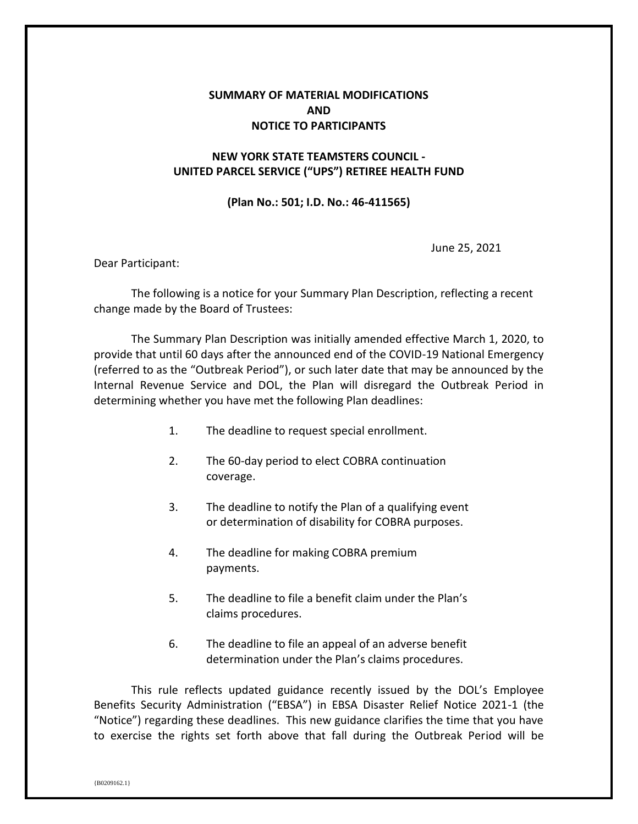## **SUMMARY OF MATERIAL MODIFICATIONS AND NOTICE TO PARTICIPANTS**

## **NEW YORK STATE TEAMSTERS COUNCIL - UNITED PARCEL SERVICE ("UPS") RETIREE HEALTH FUND**

## **(Plan No.: 501; I.D. No.: 46-411565)**

June 25, 2021

Dear Participant:

The following is a notice for your Summary Plan Description, reflecting a recent change made by the Board of Trustees:

The Summary Plan Description was initially amended effective March 1, 2020, to provide that until 60 days after the announced end of the COVID-19 National Emergency (referred to as the "Outbreak Period"), or such later date that may be announced by the Internal Revenue Service and DOL, the Plan will disregard the Outbreak Period in determining whether you have met the following Plan deadlines:

- 1. The deadline to request special enrollment.
- 2. The 60-day period to elect COBRA continuation coverage.
- 3. The deadline to notify the Plan of a qualifying event or determination of disability for COBRA purposes.
- 4. The deadline for making COBRA premium payments.
- 5. The deadline to file a benefit claim under the Plan's claims procedures.
- 6. The deadline to file an appeal of an adverse benefit determination under the Plan's claims procedures.

This rule reflects updated guidance recently issued by the DOL's Employee Benefits Security Administration ("EBSA") in EBSA Disaster Relief Notice 2021-1 (the "Notice") regarding these deadlines. This new guidance clarifies the time that you have to exercise the rights set forth above that fall during the Outbreak Period will be